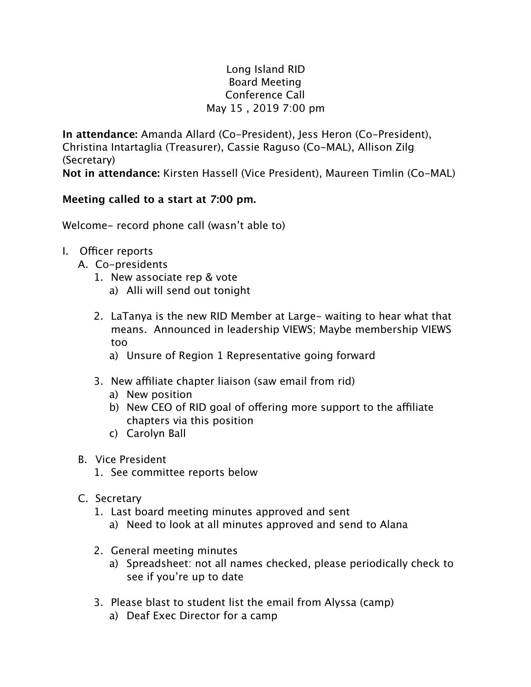## Long Island RID Board Meeting Conference Call May 15 , 2019 7:00 pm

**In attendance:** Amanda Allard (Co-President), Jess Heron (Co-President), Christina Intartaglia (Treasurer), Cassie Raguso (Co-MAL), Allison Zilg (Secretary) **Not in attendance:** Kirsten Hassell (Vice President), Maureen Timlin (Co-MAL)

## **Meeting called to a start at 7:00 pm.**

Welcome- record phone call (wasn't able to)

- I. Officer reports
	- A. Co-presidents
		- 1. New associate rep & vote
			- a) Alli will send out tonight
		- 2. LaTanya is the new RID Member at Large- waiting to hear what that means. Announced in leadership VIEWS; Maybe membership VIEWS too
			- a) Unsure of Region 1 Representative going forward
		- 3. New affiliate chapter liaison (saw email from rid)
			- a) New position
			- b) New CEO of RID goal of offering more support to the affiliate chapters via this position
			- c) Carolyn Ball
	- B. Vice President
		- 1. See committee reports below
	- C. Secretary
		- 1. Last board meeting minutes approved and sent a) Need to look at all minutes approved and send to Alana
		- 2. General meeting minutes
			- a) Spreadsheet: not all names checked, please periodically check to see if you're up to date
		- 3. Please blast to student list the email from Alyssa (camp)
			- a) Deaf Exec Director for a camp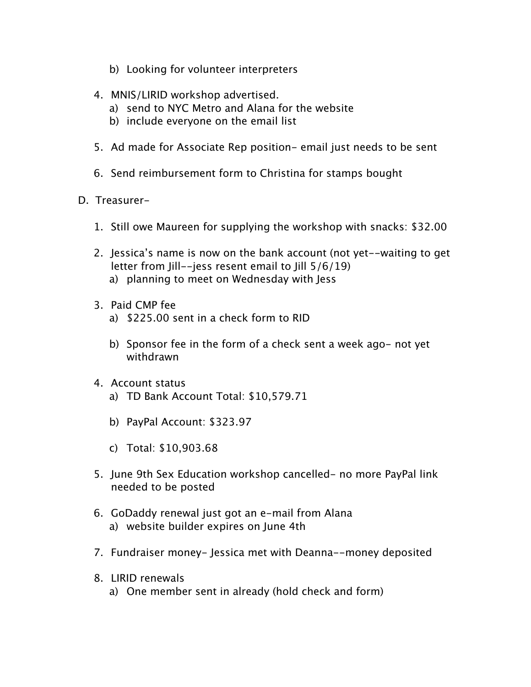- b) Looking for volunteer interpreters
- 4. MNIS/LIRID workshop advertised.
	- a) send to NYC Metro and Alana for the website
	- b) include everyone on the email list
- 5. Ad made for Associate Rep position- email just needs to be sent
- 6. Send reimbursement form to Christina for stamps bought
- D. Treasurer-
	- 1. Still owe Maureen for supplying the workshop with snacks: \$32.00
	- 2. Jessica's name is now on the bank account (not yet--waiting to get letter from Jill--jess resent email to Jill 5/6/19) a) planning to meet on Wednesday with Jess
	- 3. Paid CMP fee
		- a) \$225.00 sent in a check form to RID
		- b) Sponsor fee in the form of a check sent a week ago- not yet withdrawn
	- 4. Account status
		- a) TD Bank Account Total: \$10,579.71
		- b) PayPal Account: \$323.97
		- c) Total: \$10,903.68
	- 5. June 9th Sex Education workshop cancelled- no more PayPal link needed to be posted
	- 6. GoDaddy renewal just got an e-mail from Alana a) website builder expires on June 4th
	- 7. Fundraiser money- Jessica met with Deanna--money deposited
	- 8. LIRID renewals
		- a) One member sent in already (hold check and form)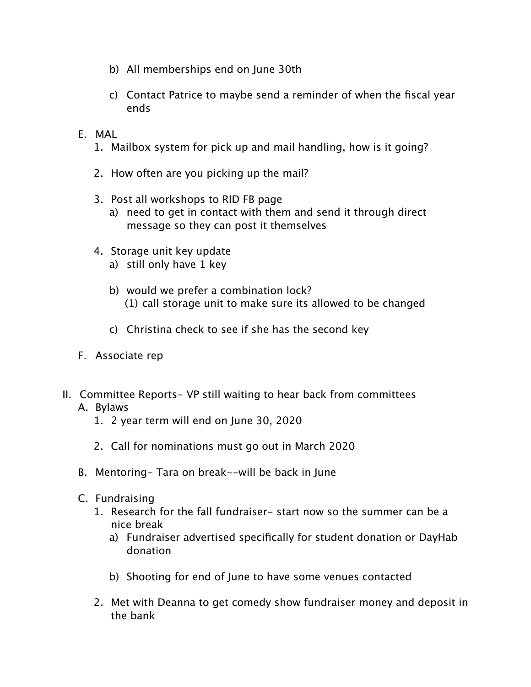- b) All memberships end on June 30th
- c) Contact Patrice to maybe send a reminder of when the fiscal year ends
- E. MAL
	- 1. Mailbox system for pick up and mail handling, how is it going?
	- 2. How often are you picking up the mail?
	- 3. Post all workshops to RID FB page
		- a) need to get in contact with them and send it through direct message so they can post it themselves
	- 4. Storage unit key update
		- a) still only have 1 key
		- b) would we prefer a combination lock? (1) call storage unit to make sure its allowed to be changed
		- c) Christina check to see if she has the second key
- F. Associate rep
- II. Committee Reports- VP still waiting to hear back from committees

## A. Bylaws

- 1. 2 year term will end on June 30, 2020
- 2. Call for nominations must go out in March 2020
- B. Mentoring- Tara on break--will be back in June
- C. Fundraising
	- 1. Research for the fall fundraiser- start now so the summer can be a nice break
		- a) Fundraiser advertised specifically for student donation or DayHab donation
		- b) Shooting for end of June to have some venues contacted
	- 2. Met with Deanna to get comedy show fundraiser money and deposit in the bank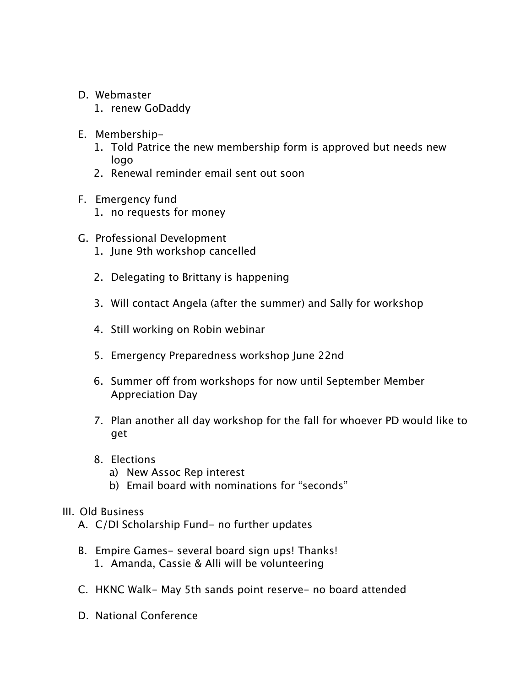- D. Webmaster
	- 1. renew GoDaddy
- E. Membership-
	- 1. Told Patrice the new membership form is approved but needs new logo
	- 2. Renewal reminder email sent out soon
- F. Emergency fund
	- 1. no requests for money
- G. Professional Development
	- 1. June 9th workshop cancelled
	- 2. Delegating to Brittany is happening
	- 3. Will contact Angela (after the summer) and Sally for workshop
	- 4. Still working on Robin webinar
	- 5. Emergency Preparedness workshop June 22nd
	- 6. Summer off from workshops for now until September Member Appreciation Day
	- 7. Plan another all day workshop for the fall for whoever PD would like to get
	- 8. Elections
		- a) New Assoc Rep interest
		- b) Email board with nominations for "seconds"

#### III. Old Business

- A. C/DI Scholarship Fund- no further updates
- B. Empire Games- several board sign ups! Thanks! 1. Amanda, Cassie & Alli will be volunteering
- C. HKNC Walk- May 5th sands point reserve- no board attended
- D. National Conference